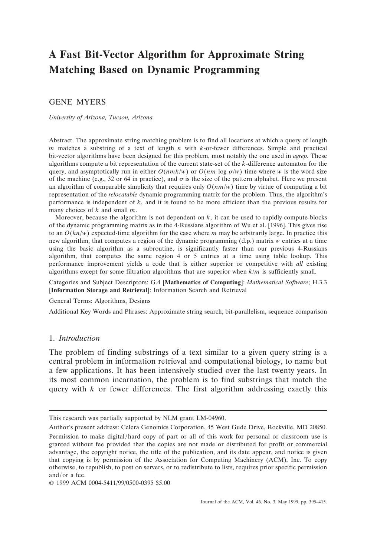# **A Fast Bit-Vector Algorithm for Approximate String Matching Based on Dynamic Programming**

# GENE MYERS

## *University of Arizona, Tucson, Arizona*

Abstract. The approximate string matching problem is to find all locations at which a query of length *m* matches a substring of a text of length *n* with *k*-or-fewer differences. Simple and practical bit-vector algorithms have been designed for this problem, most notably the one used in *agrep.* These algorithms compute a bit representation of the current state-set of the *k*-difference automaton for the query, and asymptotically run in either  $O(nmk/w)$  or  $O(nm \log \sigma/w)$  time where *w* is the word size of the machine (e.g., 32 or 64 in practice), and  $\sigma$  is the size of the pattern alphabet. Here we present an algorithm of comparable simplicity that requires only  $O(nm/w)$  time by virtue of computing a bit representation of the *relocatable* dynamic programming matrix for the problem. Thus, the algorithm's performance is independent of *k*, and it is found to be more efficient than the previous results for many choices of *k* and small *m*.

Moreover, because the algorithm is not dependent on  $k$ , it can be used to rapidly compute blocks of the dynamic programming matrix as in the 4-Russians algorithm of Wu et al. [1996]. This gives rise to an  $O(kn/w)$  expected-time algorithm for the case where *m* may be arbitrarily large. In practice this new algorithm, that computes a region of the dynamic programming (d.p.) matrix *w* entries at a time using the basic algorithm as a subroutine, is significantly faster than our previous 4-Russians algorithm, that computes the same region 4 or 5 entries at a time using table lookup. This performance improvement yields a code that is either superior or competitive with *all* existing algorithms except for some filtration algorithms that are superior when *k*/*m* is sufficiently small.

Categories and Subject Descriptors: G.4 [**Mathematics of Computing**]: *Mathematical Software*; H.3.3 [**Information Storage and Retrieval**]: Information Search and Retrieval

## General Terms: Algorithms, Designs

Additional Key Words and Phrases: Approximate string search, bit-parallelism, sequence comparison

## 1. *Introduction*

The problem of finding substrings of a text similar to a given query string is a central problem in information retrieval and computational biology, to name but a few applications. It has been intensively studied over the last twenty years. In its most common incarnation, the problem is to find substrings that match the query with  $k$  or fewer differences. The first algorithm addressing exactly this

This research was partially supported by NLM grant LM-04960.

Author's present address: Celera Genomics Corporation, 45 West Gude Drive, Rockville, MD 20850.

Permission to make digital/hard copy of part or all of this work for personal or classroom use is granted without fee provided that the copies are not made or distributed for profit or commercial advantage, the copyright notice, the title of the publication, and its date appear, and notice is given that copying is by permission of the Association for Computing Machinery (ACM), Inc. To copy otherwise, to republish, to post on servers, or to redistribute to lists, requires prior specific permission and/or a fee.

<sup>© 1999</sup> ACM 0004-5411/99/0500-0395 \$5.00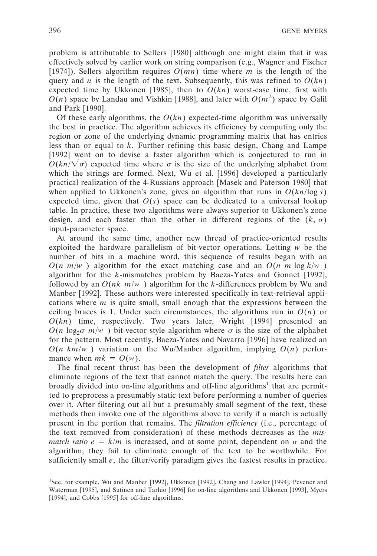problem is attributable to Sellers [1980] although one might claim that it was effectively solved by earlier work on string comparison (e.g., Wagner and Fischer [1974]). Sellers algorithm requires *O*(*mn*) time where *m* is the length of the query and *n* is the length of the text. Subsequently, this was refined to  $O(kn)$ expected time by Ukkonen [1985], then to  $O(kn)$  worst-case time, first with  $O(n)$  space by Landau and Vishkin [1988], and later with  $O(m^2)$  space by Galil and Park [1990].

Of these early algorithms, the  $O(kn)$  expected-time algorithm was universally the best in practice. The algorithm achieves its efficiency by computing only the region or zone of the underlying dynamic programming matrix that has entries less than or equal to *k*. Further refining this basic design, Chang and Lampe [1992] went on to devise a faster algorithm which is conjectured to run in  $O(kn/\sqrt{\sigma})$  expected time where  $\sigma$  is the size of the underlying alphabet from which the strings are formed. Next, Wu et al. [1996] developed a particularly practical realization of the 4-Russians approach [Masek and Paterson 1980] that when applied to Ukkonen's zone, gives an algorithm that runs in  $O(kn/\log s)$ expected time, given that  $O(s)$  space can be dedicated to a universal lookup table. In practice, these two algorithms were always superior to Ukkonen's zone design, and each faster than the other in different regions of the  $(k, \sigma)$ input-parameter space.

At around the same time, another new thread of practice-oriented results exploited the hardware parallelism of bit-vector operations. Letting *w* be the number of bits in a machine word, this sequence of results began with an  $O(n|m/w|)$  algorithm for the exact matching case and an  $O(n|m \log k/w|)$ algorithm for the *k*-mismatches problem by Baeza-Yates and Gonnet [1992], followed by an  $O(nk|m/w|)$  algorithm for the *k*-differences problem by Wu and Manber [1992]. These authors were interested specifically in text-retrieval applications where  $m$  is quite small, small enough that the expressions between the ceiling braces is 1. Under such circumstances, the algorithms run in  $O(n)$  or *O*(*kn*) time, respectively. Two years later, Wright [1994] presented an  $O(n \log_2 \sigma |m/w|)$  bit-vector style algorithm where  $\sigma$  is the size of the alphabet for the pattern. Most recently, Baeza-Yates and Navarro [1996] have realized an  $O(n \mid k m / w \mid)$  variation on the Wu/Manber algorithm, implying  $O(n)$  performance when  $mk = O(w)$ .

The final recent thrust has been the development of *filter* algorithms that eliminate regions of the text that cannot match the query. The results here can broadly divided into on-line algorithms and off-line algorithms<sup>1</sup> that are permitted to preprocess a presumably static text before performing a number of queries over it. After filtering out all but a presumably small segment of the text, these methods then invoke one of the algorithms above to verify if a match is actually present in the portion that remains. The *filtration efficiency* (i.e., percentage of the text removed from consideration) of these methods decreases as the *mismatch ratio*  $e = k/m$  *is increased, and at some point, dependent on*  $\sigma$  *and the* algorithm, they fail to eliminate enough of the text to be worthwhile. For sufficiently small *e*, the filter/verify paradigm gives the fastest results in practice.

<sup>1</sup> See, for example, Wu and Manber [1992], Ukkonen [1992], Chang and Lawler [1994], Pevener and Waterman [1995], and Sutinen and Tarhio [1996] for on-line algorithms and Ukkonen [1993], Myers [1994], and Cobbs [1995] for off-line algorithms.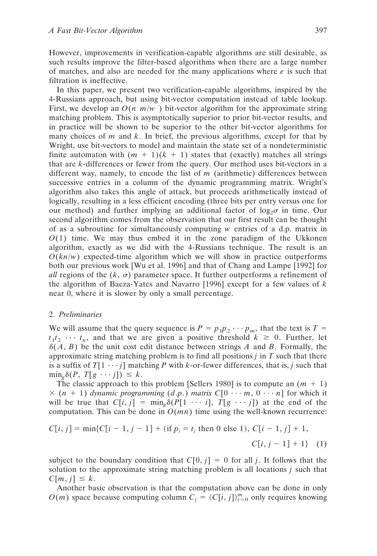However, improvements in verification-capable algorithms are still desirable, as such results improve the filter-based algorithms when there are a large number of matches, and also are needed for the many applications where *e* is such that filtration is ineffective.

In this paper, we present two verification-capable algorithms, inspired by the 4-Russians approach, but using bit-vector computation instead of table lookup. First, we develop an  $O(n|m/w|)$  bit-vector algorithm for the approximate string matching problem. This is asymptotically superior to prior bit-vector results, and in practice will be shown to be superior to the other bit-vector algorithms for many choices of *m* and *k*. In brief, the previous algorithms, except for that by Wright, use bit-vectors to model and maintain the state set of a nondeterministic finite automaton with  $(m + 1)(k + 1)$  states that (exactly) matches all strings that are *k*-differences or fewer from the query. Our method uses bit-vectors in a different way, namely, to encode the list of *m* (arithmetic) differences between successive entries in a column of the dynamic programming matrix. Wright's algorithm also takes this angle of attack, but proceeds arithmetically instead of logically, resulting in a less efficient encoding (three bits per entry versus one for our method) and further implying an additional factor of  $log_2 \sigma$  in time. Our second algorithm comes from the observation that our first result can be thought of as a subroutine for simultaneously computing *w* entries of a d.p. matrix in  $O(1)$  time. We may thus embed it in the zone paradigm of the Ukkonen algorithm, exactly as we did with the 4-Russians technique. The result is an  $O(kn/w)$  expected-time algorithm which we will show in practice outperforms both our previous work [Wu et al. 1996] and that of Chang and Lampe [1992] for *all* regions of the  $(k, \sigma)$  parameter space. It further outperforms a refinement of the algorithm of Baeza-Yates and Navarro [1996] except for a few values of *k* near 0, where it is slower by only a small percentage.

## 2. *Preliminaries*

We will assume that the query sequence is  $P = p_1 p_2 \cdots p_m$ , that the text is  $T =$  $t_1 t_2 \cdots t_n$ , and that we are given a positive threshold  $k \geq 0$ . Further, let  $\delta(A, B)$  be the unit cost edit distance between strings *A* and *B*. Formally, the approximate string matching problem is to find all positions *j* in *T* such that there is a suffix of  $T[1 \cdots j]$  matching *P* with *k*-or-fewer differences, that is, *j* such that  $\min_{\mathcal{P}} \delta(P, T[g \cdots j]) \leq k.$ 

The classic approach to this problem [Sellers 1980] is to compute an  $(m + 1)$  $\times$  (*n* + 1) *dynamic programming* (*d.p.*) *matrix*  $C[0 \cdots m, 0 \cdots n]$  for which it will be true that  $C[i, j] = \min_{\varphi} \delta(P[1 \cdots i], T[g \cdots j])$  at the end of the computation. This can be done in  $O(mn)$  time using the well-known recurrence:

$$
C[i, j] = \min\{C[i - 1, j - 1] + (\text{if } p_i = t_j \text{ then } 0 \text{ else } 1), C[i - 1, j] + 1, \}
$$

$$
C[i, j - 1] + 1\}
$$
 (1)

subject to the boundary condition that  $C[0, j] = 0$  for all *j*. It follows that the solution to the approximate string matching problem is all locations *j* such that  $C[m, j] \leq k$ .

Another basic observation is that the computation above can be done in only  $O(m)$  space because computing column  $C_j = \langle C[i, j] \rangle_{i=0}^m$  only requires knowing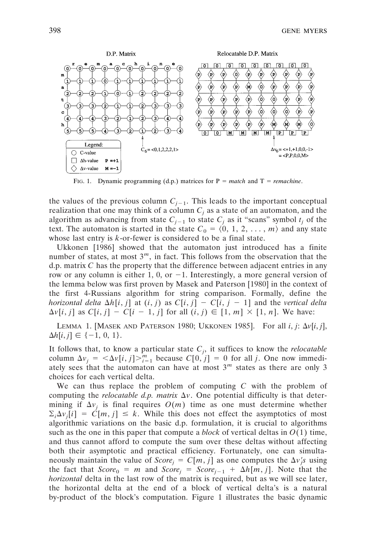

FIG. 1. Dynamic programming (d.p.) matrices for  $P = match$  and  $T = remainder$ .

the values of the previous column  $C_{i-1}$ . This leads to the important conceptual realization that one may think of a column  $C_i$  as a state of an automaton, and the algorithm as advancing from state  $C_{j-1}$  to state  $C_j$  as it "scans" symbol  $t_j$  of the text. The automaton is started in the state  $C_0 = \langle 0, 1, 2, \ldots, m \rangle$  and any state whose last entry is *k*-or-fewer is considered to be a final state.

Ukkonen [1986] showed that the automaton just introduced has a finite number of states, at most 3*m*, in fact. This follows from the observation that the d.p. matrix *C* has the property that the difference between adjacent entries in any row or any column is either 1, 0, or  $-1$ . Interestingly, a more general version of the lemma below was first proven by Masek and Paterson [1980] in the context of the first 4-Russians algorithm for string comparison. Formally, define the *horizontal delta*  $\Delta h[i, j]$  at  $(i, j)$  as  $C[i, j] - C[i, j - 1]$  and the *vertical delta*  $\Delta v[i, j]$  as  $C[i, j] - C[i - 1, j]$  for all  $(i, j) \in [1, m] \times [1, n]$ . We have:

LEMMA 1. [MASEK AND PATERSON 1980; UKKONEN 1985]. For all  $i, j$ :  $\Delta v[i, j]$ ,  $\Delta h[i, j] \in \{-1, 0, 1\}.$ 

It follows that, to know a particular state *Cj* , it suffices to know the *relocatable* column  $\Delta v_j = \langle \Delta v[i, j] \rangle_{i=1}^m$  because  $C[0, j] = 0$  for all *j*. One now immediately sees that the automaton can have at most  $3<sup>m</sup>$  states as there are only 3 choices for each vertical delta.

We can thus replace the problem of computing *C* with the problem of computing the *relocatable d.p. matrix*  $\Delta v$ . One potential difficulty is that determining if  $\Delta v_i$  is final requires  $O(m)$  time as one must determine whether  $\sum_i \Delta v_j[i] = C[m, j] \leq k$ . While this does not effect the asymptotics of most algorithmic variations on the basic d.p. formulation, it is crucial to algorithms such as the one in this paper that compute a *block* of vertical deltas in  $O(1)$  time, and thus cannot afford to compute the sum over these deltas without affecting both their asymptotic and practical efficiency. Fortunately, one can simultaneously maintain the value of *Score*<sub>j</sub> =  $C[m, j]$  as one computes the  $\Delta v_j$ 's using the fact that  $Score_0 = m$  and  $Score_i = Score_{i-1} + \Delta h[m, j]$ . Note that the *horizontal* delta in the last row of the matrix is required, but as we will see later, the horizontal delta at the end of a block of vertical delta's is a natural by-product of the block's computation. Figure 1 illustrates the basic dynamic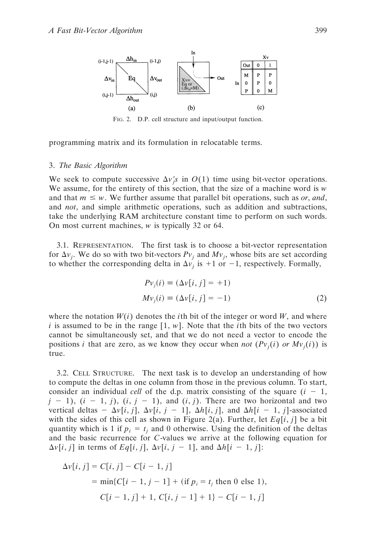

FIG. 2. D.P. cell structure and input/output function.

programming matrix and its formulation in relocatable terms.

### 3. *The Basic Algorithm*

We seek to compute successive  $\Delta v_j$  in  $O(1)$  time using bit-vector operations. We assume, for the entirety of this section, that the size of a machine word is *w* and that  $m \leq w$ . We further assume that parallel bit operations, such as *or*, and, and *not*, and simple arithmetic operations, such as addition and subtractions, take the underlying RAM architecture constant time to perform on such words. On most current machines, *w* is typically 32 or 64.

3.1. REPRESENTATION. The first task is to choose a bit-vector representation for  $\Delta v_j$ . We do so with two bit-vectors  $Pv_j$  and  $Mv_j$ , whose bits are set according to whether the corresponding delta in  $\Delta v_i$  is +1 or -1, respectively. Formally,

$$
Pv_j(i) \equiv (\Delta v[i, j] = +1)
$$
  
\n
$$
Mv_j(i) \equiv (\Delta v[i, j] = -1)
$$
\n(2)

where the notation  $W(i)$  denotes the *i*th bit of the integer or word W, and where *i* is assumed to be in the range  $[1, w]$ . Note that the *i*th bits of the two vectors cannot be simultaneously set, and that we do not need a vector to encode the positions *i* that are zero, as we know they occur when *not*  $(Pv_j(i)$  *or*  $Mv_j(i)$  is true.

3.2. CELL STRUCTURE. The next task is to develop an understanding of how to compute the deltas in one column from those in the previous column. To start, consider an individual *cell* of the d.p. matrix consisting of the square  $(i - 1, j)$  $j - 1$ ,  $(i - 1, j)$ ,  $(i, j - 1)$ , and  $(i, j)$ . There are two horizontal and two vertical deltas  $-\Delta v[i, j], \Delta v[i, j - 1], \Delta h[i, j],$  and  $\Delta h[i - 1, j]$ -associated with the sides of this cell as shown in Figure 2(a). Further, let  $Eq[i, j]$  be a bit quantity which is 1 if  $p_i = t_i$  and 0 otherwise. Using the definition of the deltas and the basic recurrence for *C*-values we arrive at the following equation for  $\Delta v[i, j]$  in terms of *Eq*[*i*, *j*],  $\Delta v[i, j - 1]$ , and  $\Delta h[i - 1, j]$ :

$$
\Delta v[i, j] = C[i, j] - C[i - 1, j]
$$
  
= min{C[i - 1, j - 1] + (if p<sub>i</sub> = t<sub>j</sub> then 0 else 1),  
C[i - 1, j] + 1, C[i, j - 1] + 1} - C[i - 1, j]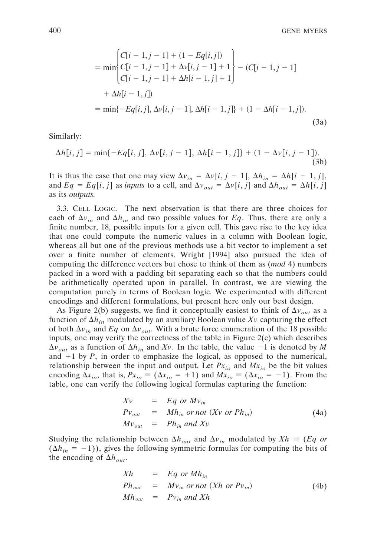$$
= \min \begin{cases} C[i-1, j-1] + (1 - Eq[i, j]) \\ C[i-1, j-1] + \Delta v[i, j-1] + 1 \\ C[i-1, j-1] + \Delta h[i-1, j] + 1 \end{cases} - (C[i-1, j-1] \\ + \Delta h[i-1, j]) \\ = \min \{-Eq[i, j], \Delta v[i, j-1], \Delta h[i-1, j] \} + (1 - \Delta h[i-1, j]). \tag{3a}
$$

Similarly:

$$
\Delta h[i, j] = \min\{-Eq[i, j], \Delta v[i, j - 1], \Delta h[i - 1, j]\} + (1 - \Delta v[i, j - 1]).
$$
\n(3b)

It is thus the case that one may view  $\Delta v_{in} = \Delta v[i, j - 1], \Delta h_{in} = \Delta h[i - 1, j],$ and  $Eq = Eq[i, j]$  as *inputs* to a cell, and  $\Delta v_{out} = \Delta v[i, j]$  and  $\Delta h_{out} = \Delta h[i, j]$ as its *outputs.*

3.3. CELL LOGIC. The next observation is that there are three choices for each of  $\Delta v_{in}$  and  $\Delta h_{in}$  and two possible values for *Eq*. Thus, there are only a finite number, 18, possible inputs for a given cell. This gave rise to the key idea that one could compute the numeric values in a column with Boolean logic, whereas all but one of the previous methods use a bit vector to implement a set over a finite number of elements. Wright [1994] also pursued the idea of computing the difference vectors but chose to think of them as (*mod* 4) numbers packed in a word with a padding bit separating each so that the numbers could be arithmetically operated upon in parallel. In contrast, we are viewing the computation purely in terms of Boolean logic. We experimented with different encodings and different formulations, but present here only our best design.

As Figure 2(b) suggests, we find it conceptually easiest to think of  $\Delta v_{out}$  as a function of  $\Delta h_{in}$  modulated by an auxiliary Boolean value Xv capturing the effect of both  $\Delta v_{in}$  and *Eq* on  $\Delta v_{out}$ . With a brute force enumeration of the 18 possible inputs, one may verify the correctness of the table in Figure  $2(c)$  which describes  $\Delta v_{out}$  as a function of  $\Delta h_{in}$  and Xv. In the table, the value  $-1$  is denoted by M and  $+1$  by *, in order to emphasize the logical, as opposed to the numerical,* relationship between the input and output. Let  $Px_{io}$  and  $Mx_{io}$  be the bit values encoding  $\Delta x_{io}$ , that is,  $Px_{io} = (\Delta x_{io} = +1)$  and  $Mx_{io} = (\Delta x_{io} = -1)$ . From the table, one can verify the following logical formulas capturing the function:

$$
Xv = Eq \ or \ Mv_{in}
$$
  
\n
$$
Pv_{out} = Mh_{in} \ or \ not \ (Xv \ or \ Ph_{in})
$$
  
\n
$$
Mv_{out} = Ph_{in} \ and \ Xv
$$
\n(4a)

Studying the relationship between  $\Delta h_{out}$  and  $\Delta v_{in}$  modulated by  $Xh = (Eq \space or \space)$  $(\Delta h_{in} = -1)$ ), gives the following symmetric formulas for computing the bits of the encoding of  $\Delta h_{out}$ .

$$
Xh = Eq or Mhin
$$
  
\n
$$
Phout = Mvin or not (Xh or Pvin)
$$
  
\n
$$
Mhout = Pvin and Xh
$$
 (4b)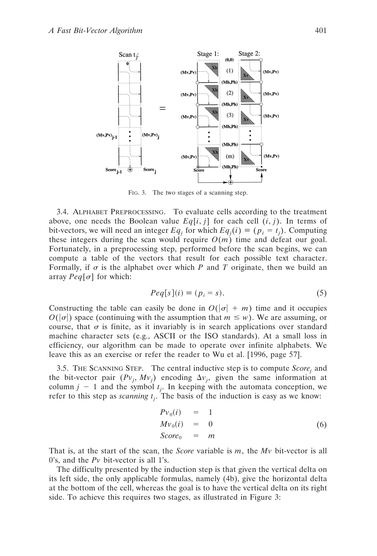

FIG. 3. The two stages of a scanning step.

3.4. ALPHABET PREPROCESSING. To evaluate cells according to the treatment above, one needs the Boolean value  $Eq[i, j]$  for each cell  $(i, j)$ . In terms of bit-vectors, we will need an integer  $Eq_j$  for which  $Eq_j(i) \equiv (p_i = t_j)$ . Computing these integers during the scan would require  $O(m)$  time and defeat our goal. Fortunately, in a preprocessing step, performed before the scan begins, we can compute a table of the vectors that result for each possible text character. Formally, if  $\sigma$  is the alphabet over which *P* and *T* originate, then we build an array  $Peq[\sigma]$  for which:

$$
Peq[s](i) \equiv (p_i = s). \tag{5}
$$

Constructing the table can easily be done in  $O(|\sigma| + m)$  time and it occupies  $O(|\sigma|)$  space (continuing with the assumption that  $m \leq w$ ). We are assuming, or course, that  $\sigma$  is finite, as it invariably is in search applications over standard machine character sets (e.g., ASCII or the ISO standards). At a small loss in efficiency, our algorithm can be made to operate over infinite alphabets. We leave this as an exercise or refer the reader to Wu et al. [1996, page 57].

3.5. THE SCANNING STEP. The central inductive step is to compute *Scorej* and the bit-vector pair  $(Pv_j, Mv_j)$  encoding  $\Delta v_j$ , given the same information at column  $j - 1$  and the symbol  $t_j$ . In keeping with the automata conception, we refer to this step as *scanning tj* . The basis of the induction is easy as we know:

$$
Pv_0(i) = 1
$$
  
\n
$$
Mv_0(i) = 0
$$
  
\n
$$
Score_0 = m
$$
\n(6)

That is, at the start of the scan, the *Score* variable is *m*, the *Mv* bit-vector is all 0's, and the *Pv* bit-vector is all 1's.

The difficulty presented by the induction step is that given the vertical delta on its left side, the only applicable formulas, namely (4b), give the horizontal delta at the bottom of the cell, whereas the goal is to have the vertical delta on its right side. To achieve this requires two stages, as illustrated in Figure 3: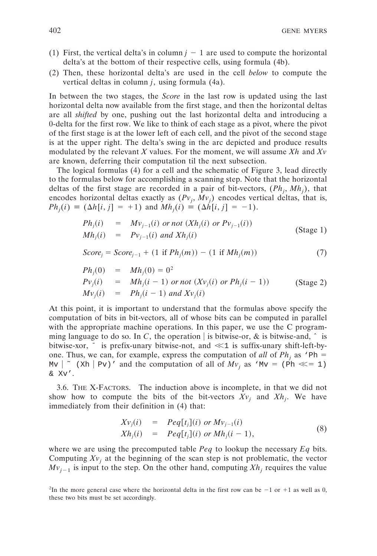- (1) First, the vertical delta's in column  $j 1$  are used to compute the horizontal delta's at the bottom of their respective cells, using formula (4b).
- (2) Then, these horizontal delta's are used in the cell *below* to compute the vertical deltas in column *j*, using formula (4a).

In between the two stages, the *Score* in the last row is updated using the last horizontal delta now available from the first stage, and then the horizontal deltas are all *shifted* by one, pushing out the last horizontal delta and introducing a 0-delta for the first row. We like to think of each stage as a pivot, where the pivot of the first stage is at the lower left of each cell, and the pivot of the second stage is at the upper right. The delta's swing in the arc depicted and produce results modulated by the relevant *X* values. For the moment, we will assume *Xh* and *Xv* are known, deferring their computation til the next subsection.

The logical formulas (4) for a cell and the schematic of Figure 3, lead directly to the formulas below for accomplishing a scanning step. Note that the horizontal deltas of the first stage are recorded in a pair of bit-vectors,  $(Ph_j, Mh_j)$ , that encodes horizontal deltas exactly as  $(Pv_j, Mv_j)$  encodes vertical deltas, that is,  $Ph_j(i) \equiv (\Delta h[i, j] = +1)$  and  $Mh_j(i) \equiv (\Delta h[i, j] = -1)$ .

$$
Ph_j(i) = Mv_{j-1}(i) \text{ or not } (Xh_j(i) \text{ or } Pv_{j-1}(i))
$$
  
\n
$$
Mh_j(i) = Pv_{j-1}(i) \text{ and } Xh_j(i)
$$
\n(Stage 1)

$$
Score_j = Score_{j-1} + (1 \text{ if } Ph_j(m)) - (1 \text{ if } Mh_j(m)) \tag{7}
$$

$$
Ph_j(0) = Mh_j(0) = 02
$$
  
\n
$$
Pv_j(i) = Mh_j(i-1) \text{ or not } (Xv_j(i) \text{ or } Ph_j(i-1))
$$
 (Stage 2)  
\n
$$
Mv_j(i) = Ph_j(i-1) \text{ and } Xv_j(i)
$$

At this point, it is important to understand that the formulas above specify the computation of bits in bit-vectors, all of whose bits can be computed in parallel with the appropriate machine operations. In this paper, we use the C programming language to do so. In *C*, the operation is bitwise-or, & is bitwise-and,  $\hat{ }$  is bitwise-xor,  $\tilde{\ }$  is prefix-unary bitwise-not, and  $\ll 1$  is suffix-unary shift-left-byone. Thus, we can, for example, express the computation of *all* of  $Ph_i$  as 'Ph = Mv  $\vert \sim$  (Xh  $\vert$  Pv)' and the computation of all of  $Mv_i$  as 'Mv = (Ph  $\ll$  = 1) & Xv'.

3.6. THE X-FACTORS. The induction above is incomplete, in that we did not show how to compute the bits of the bit-vectors  $Xv_j$  and  $Xh_j$ . We have immediately from their definition in (4) that:

$$
Xv_j(i) = Peq[t_j](i) \text{ or } Mv_{j-1}(i)
$$
  
\n
$$
Xh_j(i) = Peq[t_j](i) \text{ or } Mh_j(i-1),
$$
\n(8)

where we are using the precomputed table *Peq* to lookup the necessary *Eq* bits. Computing  $Xv_i$  at the beginning of the scan step is not problematic, the vector  $Mv_{j-1}$  is input to the step. On the other hand, computing  $Xh_j$  requires the value

<sup>&</sup>lt;sup>2</sup>In the more general case where the horizontal delta in the first row can be  $-1$  or  $+1$  as well as 0, these two bits must be set accordingly.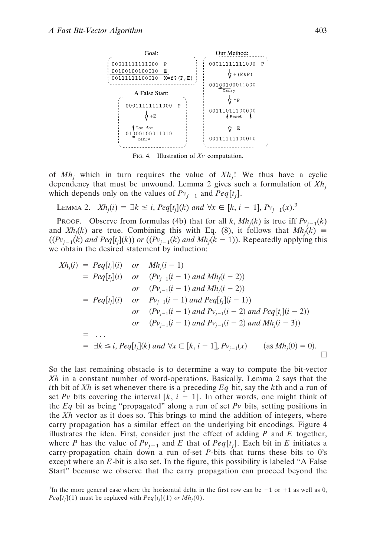

FIG. 4. Illustration of *Xv* computation.

of *Mhj* which in turn requires the value of *Xhj* ! We thus have a cyclic dependency that must be unwound. Lemma 2 gives such a formulation of *Xhj* which depends only on the values of  $Pv_{j-1}$  and  $Peq[t_j]$ .

LEMMA 2.  $Xh_j(i) = \exists k \le i$ ,  $Peq[t_j](k)$  and  $\forall x \in [k, i - 1]$ ,  $Pv_{j-1}(x)$ .<sup>3</sup>

PROOF. Observe from formulas (4b) that for all  $k$ ,  $Mh<sub>j</sub>(k)$  is true iff  $Pv<sub>j-1</sub>(k)$ and  $Xh_j(k)$  are true. Combining this with Eq. (8), it follows that  $Mh_j(k) \equiv$  $((Pv_{j-1}(k)$  *and Peq*[ $t_j$ ] $(k)$ ) *or*  $((Pv_{j-1}(k)$  *and Mh<sub>j</sub>* $(k-1))$ . Repeatedly applying this we obtain the desired statement by induction:

$$
Xh_j(i) = Peq[t_j](i) \quad or \quad Mh_j(i-1)
$$
  
\n
$$
= Peq[t_j](i) \quad or \quad (Pv_{j-1}(i-1) \text{ and } Mh_j(i-2))
$$
  
\n
$$
or \quad (Pv_{j-1}(i-1) \text{ and } Mh_j(i-2))
$$
  
\n
$$
= Peq[t_j](i) \quad or \quad Pv_{j-1}(i-1) \text{ and Peq[t_j](i-1)}
$$
  
\n
$$
or \quad (Pv_{j-1}(i-1) \text{ and } Pv_{j-1}(i-2) \text{ and Peq[t_j](i-2)})
$$
  
\n
$$
or \quad (Pv_{j-1}(i-1) \text{ and } Pv_{j-1}(i-2) \text{ and } Mh_j(i-3))
$$
  
\n
$$
= \dots
$$
  
\n
$$
= \exists k \le i, Peq[t_j](k) \text{ and } \forall x \in [k, i-1], Pv_{j-1}(x) \quad (as Mh_j(0) = 0).
$$

So the last remaining obstacle is to determine a way to compute the bit-vector *Xh* in a constant number of word-operations. Basically, Lemma 2 says that the *i*th bit of *Xh* is set whenever there is a preceding *Eq* bit, say the *k*th and a run of set Pv bits covering the interval  $[k, i - 1]$ . In other words, one might think of the *Eq* bit as being "propagated" along a run of set *Pv* bits, setting positions in the *Xh* vector as it does so. This brings to mind the addition of integers, where carry propagation has a similar effect on the underlying bit encodings. Figure 4 illustrates the idea. First, consider just the effect of adding *P* and *E* together, where *P* has the value of  $Pv_{j-1}$  and *E* that of  $Peq[t_j]$ . Each bit in *E* initiates a carry-propagation chain down a run of-set *P*-bits that turns these bits to 0's except where an *E*-bit is also set. In the figure, this possibility is labeled "A False Start" because we observe that the carry propagation can proceed beyond the

<sup>&</sup>lt;sup>3</sup>In the more general case where the horizontal delta in the first row can be  $-1$  or  $+1$  as well as 0, *Peq*[ $t_j$ ](1) must be replaced with  $Peq[t_j](1)$  *or Mh<sub>j</sub>*(0).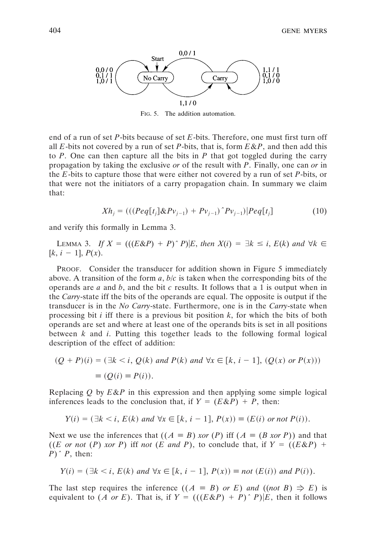

FIG. 5. The addition automation.

end of a run of set *P*-bits because of set *E*-bits. Therefore, one must first turn off all *E*-bits not covered by a run of set *P*-bits, that is, form *E*&*P*, and then add this to *P*. One can then capture all the bits in *P* that got toggled during the carry propagation by taking the exclusive *or* of the result with *P*. Finally, one can *or* in the *E*-bits to capture those that were either not covered by a run of set *P*-bits, or that were not the initiators of a carry propagation chain. In summary we claim that:

$$
Xh_j = (((Peq[t_j] \& Pv_{j-1}) + Pv_{j-1})^P v_{j-1})|Peq[t_j]
$$
\n(10)

and verify this formally in Lemma 3.

LEMMA 3. If  $X = (((E\&P) + P)^{\wedge} P)|E$ , then  $X(i) = \exists k \le i, E(k)$  and  $\forall k \in$  $[k, i - 1], P(x)$ .

PROOF. Consider the transducer for addition shown in Figure 5 immediately above. A transition of the form *a*, *b*/*c* is taken when the corresponding bits of the operands are *a* and *b*, and the bit *c* results. It follows that a 1 is output when in the *Carry*-state iff the bits of the operands are equal. The opposite is output if the transducer is in the *No Carry*-state. Furthermore, one is in the *Carry*-state when processing bit *i* iff there is a previous bit position *k*, for which the bits of both operands are set and where at least one of the operands bits is set in all positions between *k* and *i*. Putting this together leads to the following formal logical description of the effect of addition:

$$
(Q + P)(i) = (\exists k < i, Q(k) \text{ and } P(k) \text{ and } \forall x \in [k, i - 1], (Q(x) \text{ or } P(x)))
$$
\n
$$
\equiv (Q(i) \equiv P(i)).
$$

Replacing *Q* by *E*&*P* in this expression and then applying some simple logical inferences leads to the conclusion that, if  $Y = (E \& P) + P$ , then:

$$
Y(i) = (\exists k < i, E(k) \text{ and } \forall x \in [k, i-1], P(x)) \equiv (E(i) \text{ or not } P(i)).
$$

Next we use the inferences that  $((A \equiv B) \text{ xor } (P)$  iff  $(A \equiv (B \text{ xor } P))$  and that ((*E* or not (*P*) *xor P*) iff not (*E* and *P*), to conclude that, if  $Y = ((E \& P) +$ *P*)*ˆ P*, then:

$$
Y(i) = (\exists k < i, E(k) \text{ and } \forall x \in [k, i-1], P(x)) \equiv \text{not } (E(i)) \text{ and } P(i)).
$$

The last step requires the inference  $((A \equiv B)$  *or E*) *and*  $((not B) \Rightarrow E)$  is equivalent to  $(A \text{ or } E)$ . That is, if  $Y = (((E \& P) + P)^{\wedge} P) | E$ , then it follows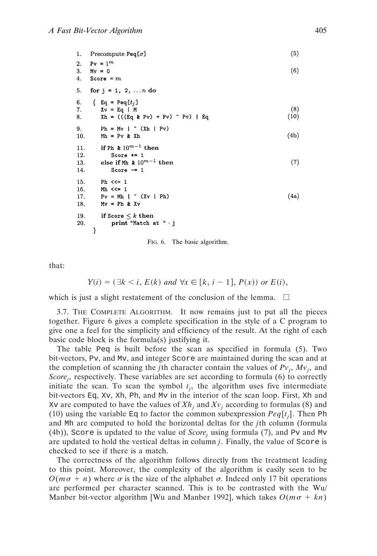```
(5)Precompute Peq[\sigma]
1.
2.Pv = 1^m3.(6)Mv = 04. Score = m5.
   for j = 1, 2, ... n do
     \{Eq = Peq[t_i]\}6.
                                                                       (8)7.
       Xv = Eq | M
                                                                      (10)8.
        Xh = (((Eq k Py) + Py) ^* Py) | Eq9.
        Ph = Mv \mid (Xh | Pv)
10.
       Mh = Pv & Xh(4b)if Ph & 10^{m-1} then
11.12.
          Score += 1else if M<br/>h\& 10^{m-1} then
                                                                       (7)13.
14.
           Score -= 1
15.
       Ph <<=116.
        Mh \leqslant = 1Pv = Mh | " (Xv | Ph)
                                                                      (4a)17.
18.
       Mv = Ph & Xv19.
       if Score \leq k then
           print "Match at " · j
20.
     }
```
FIG. 6. The basic algorithm.

that:

 $Y(i) = (\exists k < i, E(k) \text{ and } \forall x \in [k, i-1], P(x) \text{ or } E(i),$ 

which is just a slight restatement of the conclusion of the lemma.  $\Box$ 

3.7. THE COMPLETE ALGORITHM. It now remains just to put all the pieces together. Figure 6 gives a complete specification in the style of a C program to give one a feel for the simplicity and efficiency of the result. At the right of each basic code block is the formula(s) justifying it.

The table Peq is built before the scan as specified in formula (5). Two bit-vectors, Pv, and Mv, and integer Score are maintained during the scan and at the completion of scanning the *j*th character contain the values of  $Pv_j$ ,  $Mv_j$ , and *Scorej* , respectively. These variables are set according to formula (6) to correctly initiate the scan. To scan the symbol  $t_j$ , the algorithm uses five intermediate bit-vectors Eq, Xv, Xh, Ph, and Mv in the interior of the scan loop. First, Xh and Xv are computed to have the values of  $Xh_i$  and  $Xv_i$  according to formulas (8) and (10) using the variable  $\mathbb{E}_{q}$  to factor the common subexpression  $Peq[t_j]$ . Then Ph and Mh are computed to hold the horizontal deltas for the *j*th column (formula (4b)), Score is updated to the value of *Score<sub>i</sub>* using formula (7), and Pv and Mv are updated to hold the vertical deltas in column *j*. Finally, the value of Score is checked to see if there is a match.

The correctness of the algorithm follows directly from the treatment leading to this point. Moreover, the complexity of the algorithm is easily seen to be  $O(m\sigma + n)$  where  $\sigma$  is the size of the alphabet  $\sigma$ . Indeed only 17 bit operations are performed per character scanned. This is to be contrasted with the Wu/ Manber bit-vector algorithm [Wu and Manber 1992], which takes  $O(m\sigma + kn)$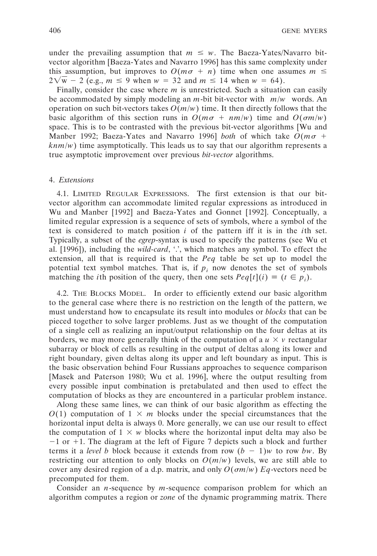under the prevailing assumption that  $m \leq w$ . The Baeza-Yates/Navarro bitvector algorithm [Baeza-Yates and Navarro 1996] has this same complexity under this assumption, but improves to  $O(m\sigma + n)$  time when one assumes  $m \le$  $2\sqrt{w} - 2$  (e.g.,  $m \le 9$  when  $w = 32$  and  $m \le 14$  when  $w = 64$ ).

Finally, consider the case where *m* is unrestricted. Such a situation can easily be accommodated by simply modeling an  $m$ -bit bit-vector with  $\left|m/w\right|$  words. An operation on such bit-vectors takes  $O(m/w)$  time. It then directly follows that the basic algorithm of this section runs in  $O(m\sigma + nm/w)$  time and  $O(\sigma m/w)$ space. This is to be contrasted with the previous bit-vector algorithms [Wu and Manber 1992; Baeza-Yates and Navarro 1996] *both* of which take  $O(m\sigma +$ *knm*/*w*) time asymptotically. This leads us to say that our algorithm represents a true asymptotic improvement over previous *bit-vector* algorithms.

## 4. *Extensions*

4.1. LIMITED REGULAR EXPRESSIONS. The first extension is that our bitvector algorithm can accommodate limited regular expressions as introduced in Wu and Manber [1992] and Baeza-Yates and Gonnet [1992]. Conceptually, a limited regular expression is a sequence of sets of symbols, where a symbol of the text is considered to match position *i* of the pattern iff it is in the *i*th set. Typically, a subset of the *egrep*-syntax is used to specify the patterns (see Wu et al. [1996]), including the *wild-card*, '.', which matches any symbol. To effect the extension, all that is required is that the *Peq* table be set up to model the potential text symbol matches. That is, if  $p_i$  now denotes the set of symbols matching the *i*th position of the query, then one sets  $Peq[t](i) \equiv (t \in p_i)$ .

4.2. THE BLOCKS MODEL. In order to efficiently extend our basic algorithm to the general case where there is no restriction on the length of the pattern, we must understand how to encapsulate its result into modules or *blocks* that can be pieced together to solve larger problems. Just as we thought of the computation of a single cell as realizing an input/output relationship on the four deltas at its borders, we may more generally think of the computation of a  $u \times v$  rectangular subarray or block of cells as resulting in the output of deltas along its lower and right boundary, given deltas along its upper and left boundary as input. This is the basic observation behind Four Russians approaches to sequence comparison [Masek and Paterson 1980; Wu et al. 1996], where the output resulting from every possible input combination is pretabulated and then used to effect the computation of blocks as they are encountered in a particular problem instance.

Along these same lines, we can think of our basic algorithm as effecting the  $O(1)$  computation of  $1 \times m$  blocks under the special circumstances that the horizontal input delta is always 0. More generally, we can use our result to effect the computation of  $1 \times w$  blocks where the horizontal input delta may also be  $-1$  or  $+1$ . The diagram at the left of Figure 7 depicts such a block and further terms it a *level b* block because it extends from row  $(b - 1)w$  to row *bw*. By restricting our attention to only blocks on  $O(m/w)$  levels, we are still able to cover any desired region of a d.p. matrix, and only  $O(\sigma m/w)$  *Eq*-vectors need be precomputed for them.

Consider an *n*-sequence by *m*-sequence comparison problem for which an algorithm computes a region or *zone* of the dynamic programming matrix. There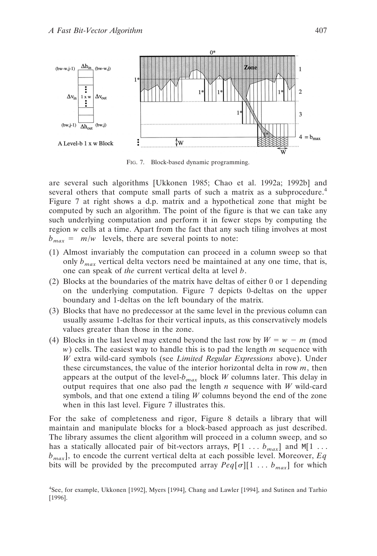

FIG. 7. Block-based dynamic programming.

are several such algorithms [Ukkonen 1985; Chao et al. 1992a; 1992b] and several others that compute small parts of such a matrix as a subprocedure.<sup>4</sup> Figure 7 at right shows a d.p. matrix and a hypothetical zone that might be computed by such an algorithm. The point of the figure is that we can take any such underlying computation and perform it in fewer steps by computing the region *w* cells at a time. Apart from the fact that any such tiling involves at most  $b_{max} = \lceil m/w \rceil$  levels, there are several points to note:

- (1) Almost invariably the computation can proceed in a column sweep so that only  $b_{max}$  vertical delta vectors need be maintained at any one time, that is, one can speak of *the* current vertical delta at level *b*.
- (2) Blocks at the boundaries of the matrix have deltas of either 0 or 1 depending on the underlying computation. Figure 7 depicts 0-deltas on the upper boundary and 1-deltas on the left boundary of the matrix.
- (3) Blocks that have no predecessor at the same level in the previous column can usually assume 1-deltas for their vertical inputs, as this conservatively models values greater than those in the zone.
- (4) Blocks in the last level may extend beyond the last row by  $W = w m$  (mod *w*) cells. The easiest way to handle this is to pad the length *m* sequence with *W* extra wild-card symbols (see *Limited Regular Expressions* above). Under these circumstances, the value of the interior horizontal delta in row *m*, then appears at the output of the level- $b_{max}$  block *W* columns later. This delay in output requires that one also pad the length *n* sequence with *W* wild-card symbols, and that one extend a tiling *W* columns beyond the end of the zone when in this last level. Figure 7 illustrates this.

For the sake of completeness and rigor, Figure 8 details a library that will maintain and manipulate blocks for a block-based approach as just described. The library assumes the client algorithm will proceed in a column sweep, and so has a statically allocated pair of bit-vectors arrays,  $P[1 \dots b_{max}]$  and  $M[1 \dots$  $b<sub>max</sub>$ ], to encode the current vertical delta at each possible level. Moreover, *Eq* bits will be provided by the precomputed array  $Peq[\sigma][1 \dots b_{max}]$  for which

<sup>4</sup> See, for example, Ukkonen [1992], Myers [1994], Chang and Lawler [1994], and Sutinen and Tarhio [1996].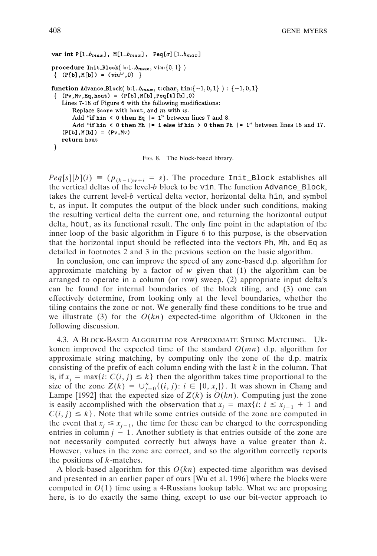```
var int P[1..b_{max}], M[1..b_{max}], Peq[\sigma][1..b_{max}]
procedure Init_Block(b:1..b_{max}, vin:\{0,1\})
\{ (P[b], M[b]) = (vin^w, 0) \}function Advance_Block(b:1..bmax, t:char, hin:{-1,0,1}) : {-1,0,1}
\{ (Pv, Mv, Eq, hout) = (P[b], M[b], Peq[t][b], 0)
   Lines 7-18 of Figure 6 with the following modifications:
       Replace Score with hout, and m with w.
       Add "if hin < 0 then Eq |= 1" between lines 7 and 8.
       Add "if hin < 0 then Mh | = 1 else if hin > 0 then Ph | = 1" between lines 16 and 17.
   (P[b], M[b]) = (Pv, Mv)return hout
}
```
FIG. 8. The block-based library.

 $Peq[s][b](i) \equiv (p_{(b-1)w+i} = s)$ . The procedure Init\_Block establishes all the vertical deltas of the level-*b* block to be vin. The function Advance\_Block, takes the current level-*b* vertical delta vector, horizontal delta hin, and symbol t, as input. It computes the output of the block under such conditions, making the resulting vertical delta the current one, and returning the horizontal output delta, hout, as its functional result. The only fine point in the adaptation of the inner loop of the basic algorithm in Figure 6 to this purpose, is the observation that the horizontal input should be reflected into the vectors Ph, Mh, and Eq as detailed in footnotes 2 and 3 in the previous section on the basic algorithm.

In conclusion, one can improve the speed of any zone-based d.p. algorithm for approximate matching by a factor of *w* given that (1) the algorithm can be arranged to operate in a column (or row) sweep, (2) appropriate input delta's can be found for internal boundaries of the block tiling, and (3) one can effectively determine, from looking only at the level boundaries, whether the tiling contains the zone or not. We generally find these conditions to be true and we illustrate (3) for the  $O(kn)$  expected-time algorithm of Ukkonen in the following discussion.

4.3. A BLOCK-BASED ALGORITHM FOR APPROXIMATE STRING MATCHING. Ukkonen improved the expected time of the standard *O*(*mn*) d.p. algorithm for approximate string matching, by computing only the zone of the d.p. matrix consisting of the prefix of each column ending with the last *k* in the column. That is, if  $x_i = \max\{i: C(i, j) \leq k\}$  then the algorithm takes time proportional to the size of the zone  $Z(k) = \bigcup_{j=0}^{n} \{(i, j): i \in [0, x_j]\}$ . It was shown in Chang and Lampe [1992] that the expected size of  $Z(k)$  is  $O(kn)$ . Computing just the zone is easily accomplished with the observation that  $x_j = \max\{i: i \le x_{j-1} + 1 \text{ and } i\}$  $C(i, j) \leq k$ . Note that while some entries outside of the zone are computed in the event that  $x_i \leq x_{i-1}$ , the time for these can be charged to the corresponding entries in column  $j - 1$ . Another subtlety is that entries outside of the zone are not necessarily computed correctly but always have a value greater than *k*. However, values in the zone are correct, and so the algorithm correctly reports the positions of *k*-matches.

A block-based algorithm for this *O*(*kn*) expected-time algorithm was devised and presented in an earlier paper of ours [Wu et al. 1996] where the blocks were computed in  $O(1)$  time using a 4-Russians lookup table. What we are proposing here, is to do exactly the same thing, except to use our bit-vector approach to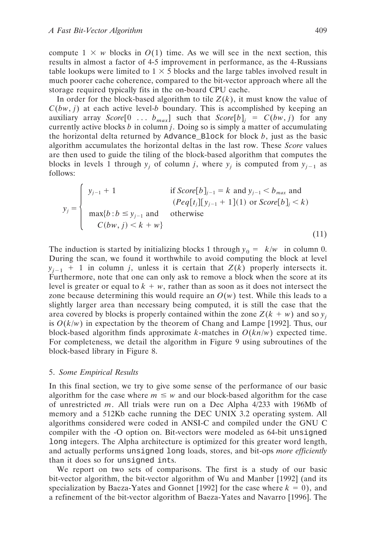compute  $1 \times w$  blocks in  $O(1)$  time. As we will see in the next section, this results in almost a factor of 4-5 improvement in performance, as the 4-Russians table lookups were limited to  $1 \times 5$  blocks and the large tables involved result in much poorer cache coherence, compared to the bit-vector approach where all the storage required typically fits in the on-board CPU cache.

In order for the block-based algorithm to tile  $Z(k)$ , it must know the value of  $C(bw, j)$  at each active level-*b* boundary. This is accomplished by keeping an auxiliary array *Score*[0 ...  $b_{max}$ ] such that *Score*[b]<sub>*i*</sub> =  $C(bw, j)$  for any currently active blocks *b* in column *j*. Doing so is simply a matter of accumulating the horizontal delta returned by Advance\_Block for block *b*, just as the basic algorithm accumulates the horizontal deltas in the last row. These *Score* values are then used to guide the tiling of the block-based algorithm that computes the blocks in levels 1 through  $y_j$  of column *j*, where  $y_j$  is computed from  $y_{j-1}$  as follows:

$$
y_{j} = \begin{cases} y_{j-1} + 1 & \text{if } Score[b]_{j-1} = k \text{ and } y_{j-1} < b_{max} \text{ and} \\ (Peq[t_{j}][y_{j-1} + 1](1) \text{ or } Score[b]_{j} < k) \\ \max\{b : b \le y_{j-1} \text{ and} \\ C(bw, j) < k + w \} \end{cases} \tag{11}
$$

The induction is started by initializing blocks 1 through  $y_0 = \lceil k/w \rceil$  in column 0. During the scan, we found it worthwhile to avoid computing the block at level  $y_{i-1}$  + 1 in column *j*, unless it is certain that  $Z(k)$  properly intersects it. Furthermore, note that one can only ask to remove a block when the score at its level is greater or equal to  $k + w$ , rather than as soon as it does not intersect the zone because determining this would require an  $O(w)$  test. While this leads to a slightly larger area than necessary being computed, it is still the case that the area covered by blocks is properly contained within the zone  $Z(k + w)$  and so  $y_i$ is  $O(k/w)$  in expectation by the theorem of Chang and Lampe [1992]. Thus, our block-based algorithm finds approximate  $k$ -matches in  $O(kn/w)$  expected time. For completeness, we detail the algorithm in Figure 9 using subroutines of the block-based library in Figure 8.

## 5. *Some Empirical Results*

In this final section, we try to give some sense of the performance of our basic algorithm for the case where  $m \leq w$  and our block-based algorithm for the case of unrestricted *m*. All trials were run on a Dec Alpha 4/233 with 196Mb of memory and a 512Kb cache running the DEC UNIX 3.2 operating system. All algorithms considered were coded in ANSI-C and compiled under the GNU C compiler with the -O option on. Bit-vectors were modeled as 64-bit unsigned long integers. The Alpha architecture is optimized for this greater word length, and actually performs unsigned long loads, stores, and bit-ops *more efficiently* than it does so for unsigned ints.

We report on two sets of comparisons. The first is a study of our basic bit-vector algorithm, the bit-vector algorithm of Wu and Manber [1992] (and its specialization by Baeza-Yates and Gonnet [1992] for the case where  $k = 0$ ), and a refinement of the bit-vector algorithm of Baeza-Yates and Navarro [1996]. The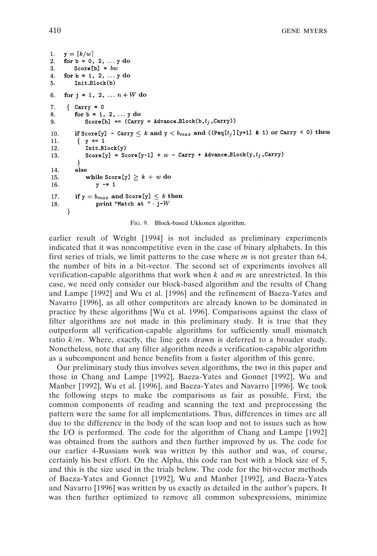```
y = \lfloor k/w \rfloor1.
    for b = 0, 2, ... y do
2.Score[b] = bw3.
\overline{4}.
   for b = 1, 2, ... y do
         Init_Block(b)
5.
6.
    for j = 1, 2, ... n + W do
7<sub>1</sub>{ Carry = 0for b = 1, 2, ... y do
8.
9.
             Score[b] += (Carry = Advance\_Block(b, t_j, Carry))if Score[y] - Carry \leq k and y < b_{max} and ((Peq[t<sub>j</sub>][y+1] & 1) or Carry < 0) then
10.11.
          \{ y \leftarrow 1Init_Block(y)
12.
             Score[y] = Score[y-1] + w - Carry + Advance_Block(y, t_j, Carry)
13.}
14.else
             while Score [y] \geq k + w do
15.16.
                 y \rightarrow 117.
         if y = b_{max} and Score[y] \leq k then
                 print "Match at "\cdot j-W
18.
      \mathcal{F}
```
FIG. 9. Block-based Ukkonen algorithm.

earlier result of Wright [1994] is not included as preliminary experiments indicated that it was noncompetitive even in the case of binary alphabets. In this first series of trials, we limit patterns to the case where *m* is not greater than 64, the number of bits in a bit-vector. The second set of experiments involves all verification-capable algorithms that work when *k* and *m* are unrestricted. In this case, we need only consider our block-based algorithm and the results of Chang and Lampe [1992] and Wu et al. [1996] and the refinement of Baeza-Yates and Navarro [1996], as all other competitors are already known to be dominated in practice by these algorithms [Wu et al. 1996]. Comparisons against the class of filter algorithms are not made in this preliminary study. It is true that they outperform all verification-capable algorithms for sufficiently small mismatch ratio *k*/*m*. Where, exactly, the line gets drawn is deferred to a broader study. Nonetheless, note that any filter algorithm needs a verification-capable algorithm as a subcomponent and hence benefits from a faster algorithm of this genre.

Our preliminary study thus involves seven algorithms, the two in this paper and those in Chang and Lampe [1992], Baeza-Yates and Gonnet [1992], Wu and Manber [1992], Wu et al. [1996], and Baeza-Yates and Navarro [1996]. We took the following steps to make the comparisons as fair as possible. First, the common components of reading and scanning the text and preprocessing the pattern were the same for all implementations. Thus, differences in times are all due to the difference in the body of the scan loop and not to issues such as how the I/O is performed. The code for the algorithm of Chang and Lampe [1992] was obtained from the authors and then further improved by us. The code for our earlier 4-Russians work was written by this author and was, of course, certainly his best effort. On the Alpha, this code ran best with a block size of 5, and this is the size used in the trials below. The code for the bit-vector methods of Baeza-Yates and Gonnet [1992], Wu and Manber [1992], and Baeza-Yates and Navarro [1996] was written by us exactly as detailed in the author's papers. It was then further optimized to remove all common subexpressions, minimize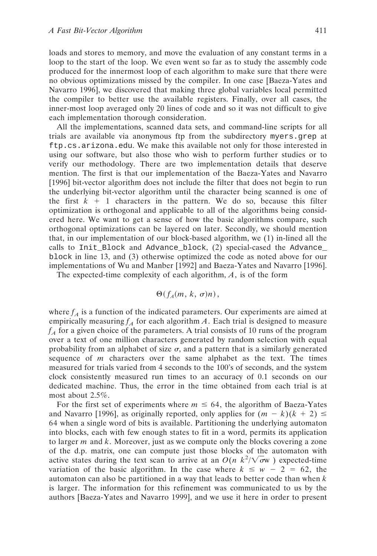loads and stores to memory, and move the evaluation of any constant terms in a loop to the start of the loop. We even went so far as to study the assembly code produced for the innermost loop of each algorithm to make sure that there were no obvious optimizations missed by the compiler. In one case [Baeza-Yates and Navarro 1996], we discovered that making three global variables local permitted the compiler to better use the available registers. Finally, over all cases, the inner-most loop averaged only 20 lines of code and so it was not difficult to give each implementation thorough consideration.

All the implementations, scanned data sets, and command-line scripts for all trials are available via anonymous ftp from the subdirectory myers.grep at ftp.cs.arizona.edu. We make this available not only for those interested in using our software, but also those who wish to perform further studies or to verify our methodology. There are two implementation details that deserve mention. The first is that our implementation of the Baeza-Yates and Navarro [1996] bit-vector algorithm does not include the filter that does not begin to run the underlying bit-vector algorithm until the character being scanned is one of the first  $k + 1$  characters in the pattern. We do so, because this filter optimization is orthogonal and applicable to all of the algorithms being considered here. We want to get a sense of how the basic algorithms compare, such orthogonal optimizations can be layered on later. Secondly, we should mention that, in our implementation of our block-based algorithm, we (1) in-lined all the calls to Init\_Block and Advance\_block, (2) special-cased the Advance\_ block in line 13, and (3) otherwise optimized the code as noted above for our implementations of Wu and Manber [1992] and Baeza-Yates and Navarro [1996].

The expected-time complexity of each algorithm, *A*, is of the form

 $\Theta(f_A(m, k, \sigma)n),$ 

where  $f_A$  is a function of the indicated parameters. Our experiments are aimed at empirically measuring  $f_A$  for each algorithm *A*. Each trial is designed to measure  $f_A$  for a given choice of the parameters. A trial consists of 10 runs of the program over a text of one million characters generated by random selection with equal probability from an alphabet of size  $\sigma$ , and a pattern that is a similarly generated sequence of *m* characters over the same alphabet as the text. The times measured for trials varied from 4 seconds to the 100's of seconds, and the system clock consistently measured run times to an accuracy of 0.1 seconds on our dedicated machine. Thus, the error in the time obtained from each trial is at most about 2.5%.

For the first set of experiments where  $m \leq 64$ , the algorithm of Baeza-Yates and Navarro [1996], as originally reported, only applies for  $(m - k)(k + 2) \le$ 64 when a single word of bits is available. Partitioning the underlying automaton into blocks, each with few enough states to fit in a word, permits its application to larger *m* and *k*. Moreover, just as we compute only the blocks covering a zone of the d.p. matrix, one can compute just those blocks of the automaton with active states during the text scan to arrive at an  $O(n \lceil k^2 / \sqrt{\sigma w} \rceil)$  expected-time variation of the basic algorithm. In the case where  $k \leq w - 2 = 62$ , the automaton can also be partitioned in a way that leads to better code than when *k* is larger. The information for this refinement was communicated to us by the authors [Baeza-Yates and Navarro 1999], and we use it here in order to present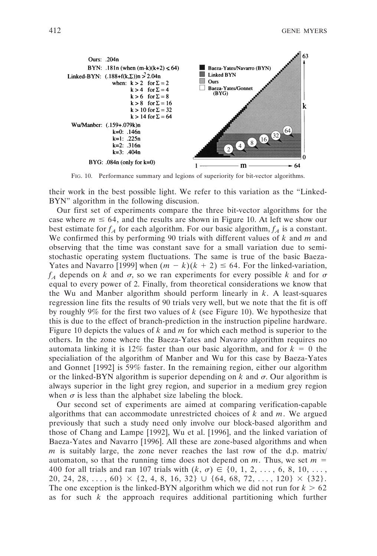

FIG. 10. Performance summary and legions of superiority for bit-vector algorithms.

their work in the best possible light. We refer to this variation as the "Linked-BYN" algorithm in the following discusion.

Our first set of experiments compare the three bit-vector algorithms for the case where  $m \leq 64$ , and the results are shown in Figure 10. At left we show our best estimate for  $f_A$  for each algorithm. For our basic algorithm,  $f_A$  is a constant. We confirmed this by performing 90 trials with different values of *k* and *m* and observing that the time was constant save for a small variation due to semistochastic operating system fluctuations. The same is true of the basic Baeza-Yates and Navarro [1999] when  $(m - k)(k + 2) \le 64$ . For the linked-variation,  $f_A$  depends on *k* and  $\sigma$ , so we ran experiments for every possible *k* and for  $\sigma$ equal to every power of 2. Finally, from theoretical considerations we know that the Wu and Manber algorithm should perform linearly in *k*. A least-squares regression line fits the results of 90 trials very well, but we note that the fit is off by roughly 9% for the first two values of *k* (see Figure 10). We hypothesize that this is due to the effect of branch-prediction in the instruction pipeline hardware. Figure 10 depicts the values of *k* and *m* for which each method is superior to the others. In the zone where the Baeza-Yates and Navarro algorithm requires no automata linking it is 12% faster than our basic algorithm, and for  $k = 0$  the specialiation of the algorithm of Manber and Wu for this case by Baeza-Yates and Gonnet [1992] is 59% faster. In the remaining region, either our algorithm or the linked-BYN algorithm is superior depending on  $k$  and  $\sigma$ . Our algorithm is always superior in the light grey region, and superior in a medium grey region when  $\sigma$  is less than the alphabet size labeling the block.

Our second set of experiments are aimed at comparing verification-capable algorithms that can accommodate unrestricted choices of *k* and *m*. We argued previously that such a study need only involve our block-based algorithm and those of Chang and Lampe [1992], Wu et al. [1996], and the linked variation of Baeza-Yates and Navarro [1996]. All these are zone-based algorithms and when *m* is suitably large, the zone never reaches the last row of the d.p. matrix/ automaton, so that the running time does not depend on  $m$ . Thus, we set  $m =$ 400 for all trials and ran 107 trials with  $(k, \sigma) \in \{0, 1, 2, ..., 6, 8, 10, ...,$ 20, 24, 28, ...,  $60\} \times \{2, 4, 8, 16, 32\} \cup \{64, 68, 72, \ldots, 120\} \times \{32\}.$ The one exception is the linked-BYN algorithm which we did not run for  $k > 62$ as for such *k* the approach requires additional partitioning which further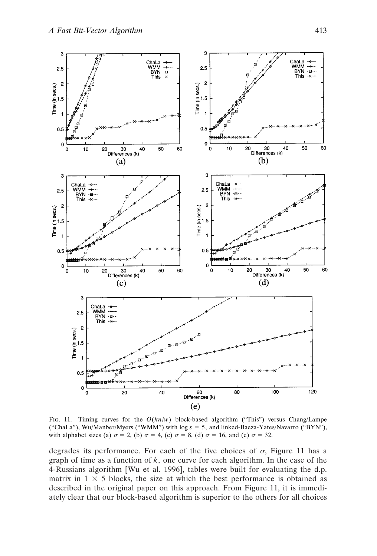

FIG. 11. Timing curves for the  $O(kn/w)$  block-based algorithm ("This") versus Chang/Lampe ("ChaLa"), Wu/Manber/Myers ("WMM") with log *s* 5 5, and linked-Baeza-Yates/Navarro ("BYN"), with alphabet sizes (a)  $\sigma = 2$ , (b)  $\sigma = 4$ , (c)  $\sigma = 8$ , (d)  $\sigma = 16$ , and (e)  $\sigma = 32$ .

degrades its performance. For each of the five choices of  $\sigma$ , Figure 11 has a graph of time as a function of *k*, one curve for each algorithm. In the case of the 4-Russians algorithm [Wu et al. 1996], tables were built for evaluating the d.p. matrix in  $1 \times 5$  blocks, the size at which the best performance is obtained as described in the original paper on this approach. From Figure 11, it is immediately clear that our block-based algorithm is superior to the others for all choices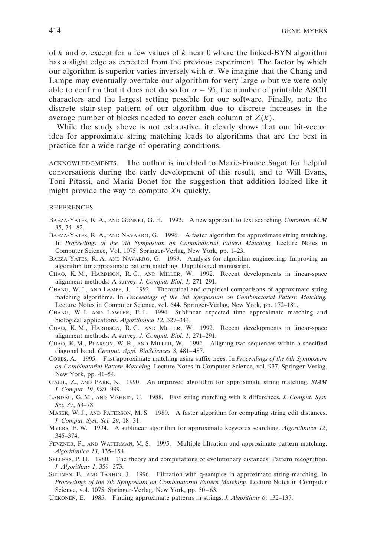of  $k$  and  $\sigma$ , except for a few values of  $k$  near 0 where the linked-BYN algorithm has a slight edge as expected from the previous experiment. The factor by which our algorithm is superior varies inversely with  $\sigma$ . We imagine that the Chang and Lampe may eventually overtake our algorithm for very large  $\sigma$  but we were only able to confirm that it does not do so for  $\sigma = 95$ , the number of printable ASCII characters and the largest setting possible for our software. Finally, note the discrete stair-step pattern of our algorithm due to discrete increases in the average number of blocks needed to cover each column of  $Z(k)$ .

While the study above is not exhaustive, it clearly shows that our bit-vector idea for approximate string matching leads to algorithms that are the best in practice for a wide range of operating conditions.

ACKNOWLEDGMENTS. The author is indebted to Marie-France Sagot for helpful conversations during the early development of this result, and to Will Evans, Toni Pitassi, and Maria Bonet for the suggestion that addition looked like it might provide the way to compute *Xh* quickly.

#### **REFERENCES**

- BAEZA-YATES, R. A., AND GONNET, G. H. 1992. A new approach to text searching. *Commun. ACM 35*, 74–82.
- BAEZA-YATES, R. A., AND NAVARRO, G. 1996. A faster algorithm for approximate string matching. In *Proceedings of the 7th Symposium on Combinatorial Pattern Matching.* Lecture Notes in Computer Science, Vol. 1075. Springer-Verlag, New York, pp. 1–23.
- BAEZA-YATES, R. A. AND NAVARRO, G. 1999. Analysis for algorithm engineering: Improving an algorithm for approximate pattern matching. Unpublished manuscript.
- CHAO, K. M., HARDISON, R. C., AND MILLER, W. 1992. Recent developments in linear-space alignment methods: A survey. *J. Comput. Biol. 1,* 271–291.
- CHANG, W. I., AND LAMPE, J. 1992. Theoretical and empirical comparisons of approximate string matching algorithms. In *Proceedings of the 3rd Symposium on Combinatorial Pattern Matching.* Lecture Notes in Computer Science, vol. 644. Springer-Verlag, New York, pp. 172–181.
- CHANG, W. I. AND LAWLER, E. L. 1994. Sublinear expected time approximate matching and biological applications. *Algorithmica 12*, 327–344.
- CHAO, K. M., HARDISON, R. C., AND MILLER, W. 1992. Recent developments in linear-space alignment methods: A survey. *J. Comput. Biol. 1*, 271–291.
- CHAO, K. M., PEARSON, W. R., AND MILLER, W. 1992. Aligning two sequences within a specified diagonal band. *Comput. Appl. BioSciences 8*, 481–487.
- COBBS, A. 1995. Fast approximate matching using suffix trees. In *Proceedings of the 6th Symposium on Combinatorial Pattern Matching.* Lecture Notes in Computer Science, vol. 937. Springer-Verlag, New York, pp. 41–54.
- GALIL, Z., AND PARK, K. 1990. An improved algorithm for approximate string matching. *SIAM J. Comput. 19*, 989–999.
- LANDAU, G. M., AND VISHKIN, U. 1988. Fast string matching with k differences. *J. Comput. Syst. Sci. 37*, 63–78.
- MASEK, W. J., AND PATERSON, M. S. 1980. A faster algorithm for computing string edit distances. *J. Comput. Syst. Sci. 20*, 18–31.
- MYERS, E. W. 1994. A sublinear algorithm for approximate keywords searching. *Algorithmica 12*, 345–374.
- PEVZNER, P., AND WATERMAN, M. S. 1995. Multiple filtration and approximate pattern matching. *Algorithmica 13*, 135–154.
- SELLERS, P. H. 1980. The theory and computations of evolutionary distances: Pattern recognition. *J. Algorithms 1*, 359–373.
- SUTINEN, E., AND TARHIO, J. 1996. Filtration with q-samples in approximate string matching. In *Proceedings of the 7th Symposium on Combinatorial Pattern Matching.* Lecture Notes in Computer Science, vol. 1075. Springer-Verlag, New York, pp. 50–63.
- UKKONEN, E. 1985. Finding approximate patterns in strings. *J. Algorithms 6*, 132–137.